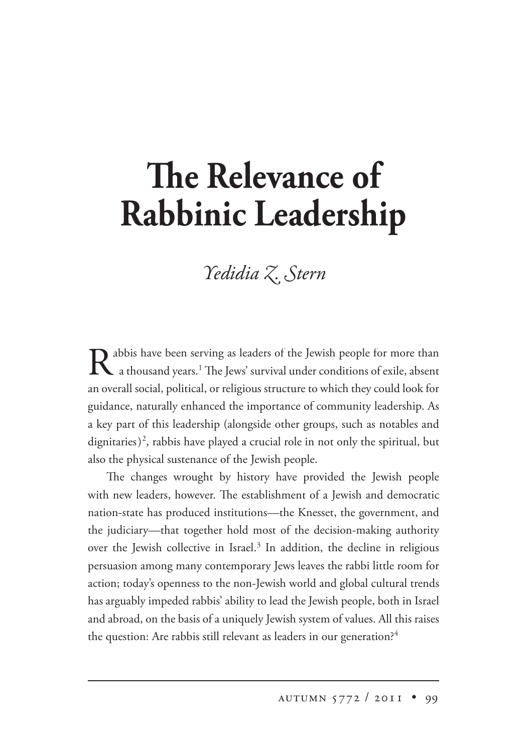## **The Relevance of Rabbinic Leadership**

## *Yedidia Z. Stern*

Rabbis have been serving as leaders of the Jewish people for more than a thousand years.<sup>1</sup> The Jews' survival under conditions of exile, absent an overall social, political, or religious structure to which they could look for guidance, naturally enhanced the importance of community leadership. As a key part of this leadership (alongside other groups, such as notables and dignitaries)<sup>2</sup>, rabbis have played a crucial role in not only the spiritual, but also the physical sustenance of the Jewish people.

The changes wrought by history have provided the Jewish people with new leaders, however. The establishment of a Jewish and democratic nation-state has produced institutions—the Knesset, the government, and the judiciary—that together hold most of the decision-making authority over the Jewish collective in Israel.<sup>3</sup> In addition, the decline in religious persuasion among many contemporary Jews leaves the rabbi little room for action; today's openness to the non-Jewish world and global cultural trends has arguably impeded rabbis' ability to lead the Jewish people, both in Israel and abroad, on the basis of a uniquely Jewish system of values. All this raises the question: Are rabbis still relevant as leaders in our generation?<sup>4</sup>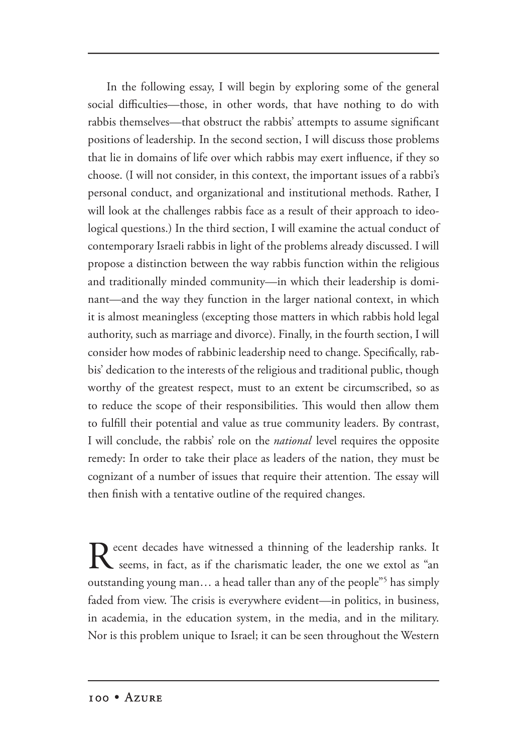In the following essay, I will begin by exploring some of the general social difficulties—those, in other words, that have nothing to do with rabbis themselves—that obstruct the rabbis' attempts to assume significant positions of leadership. In the second section, I will discuss those problems that lie in domains of life over which rabbis may exert influence, if they so choose. (I will not consider, in this context, the important issues of a rabbi's personal conduct, and organizational and institutional methods. Rather, I will look at the challenges rabbis face as a result of their approach to ideological questions.) In the third section, I will examine the actual conduct of contemporary Israeli rabbis in light of the problems already discussed. I will propose a distinction between the way rabbis function within the religious and traditionally minded community—in which their leadership is dominant—and the way they function in the larger national context, in which it is almost meaningless (excepting those matters in which rabbis hold legal authority, such as marriage and divorce). Finally, in the fourth section, I will consider how modes of rabbinic leadership need to change. Specifically, rabbis' dedication to the interests of the religious and traditional public, though worthy of the greatest respect, must to an extent be circumscribed, so as to reduce the scope of their responsibilities. This would then allow them to fulfill their potential and value as true community leaders. By contrast, I will conclude, the rabbis' role on the *national* level requires the opposite remedy: In order to take their place as leaders of the nation, they must be cognizant of a number of issues that require their attention. The essay will then finish with a tentative outline of the required changes.

Recent decades have witnessed a thinning of the leadership ranks. It seems, in fact, as if the charismatic leader, the one we extol as "an outstanding young man... a head taller than any of the people"<sup>5</sup> has simply faded from view. The crisis is everywhere evident—in politics, in business, in academia, in the education system, in the media, and in the military. Nor is this problem unique to Israel; it can be seen throughout the Western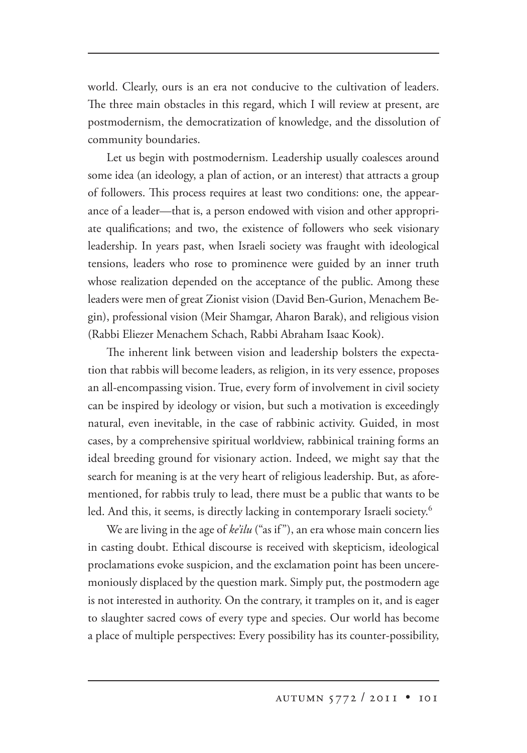world. Clearly, ours is an era not conducive to the cultivation of leaders. The three main obstacles in this regard, which I will review at present, are postmodernism, the democratization of knowledge, and the dissolution of community boundaries.

Let us begin with postmodernism. Leadership usually coalesces around some idea (an ideology, a plan of action, or an interest) that attracts a group of followers. This process requires at least two conditions: one, the appearance of a leader—that is, a person endowed with vision and other appropriate qualifications; and two, the existence of followers who seek visionary leadership. In years past, when Israeli society was fraught with ideological tensions, leaders who rose to prominence were guided by an inner truth whose realization depended on the acceptance of the public. Among these leaders were men of great Zionist vision (David Ben-Gurion, Menachem Begin), professional vision (Meir Shamgar, Aharon Barak), and religious vision (Rabbi Eliezer Menachem Schach, Rabbi Abraham Isaac Kook).

The inherent link between vision and leadership bolsters the expectation that rabbis will become leaders, as religion, in its very essence, proposes an all-encompassing vision. True, every form of involvement in civil society can be inspired by ideology or vision, but such a motivation is exceedingly natural, even inevitable, in the case of rabbinic activity. Guided, in most cases, by a comprehensive spiritual worldview, rabbinical training forms an ideal breeding ground for visionary action. Indeed, we might say that the search for meaning is at the very heart of religious leadership. But, as aforementioned, for rabbis truly to lead, there must be a public that wants to be led. And this, it seems, is directly lacking in contemporary Israeli society.<sup>6</sup>

We are living in the age of *ke'ilu* ("as if"), an era whose main concern lies in casting doubt. Ethical discourse is received with skepticism, ideological proclamations evoke suspicion, and the exclamation point has been unceremoniously displaced by the question mark. Simply put, the postmodern age is not interested in authority. On the contrary, it tramples on it, and is eager to slaughter sacred cows of every type and species. Our world has become a place of multiple perspectives: Every possibility has its counter-possibility,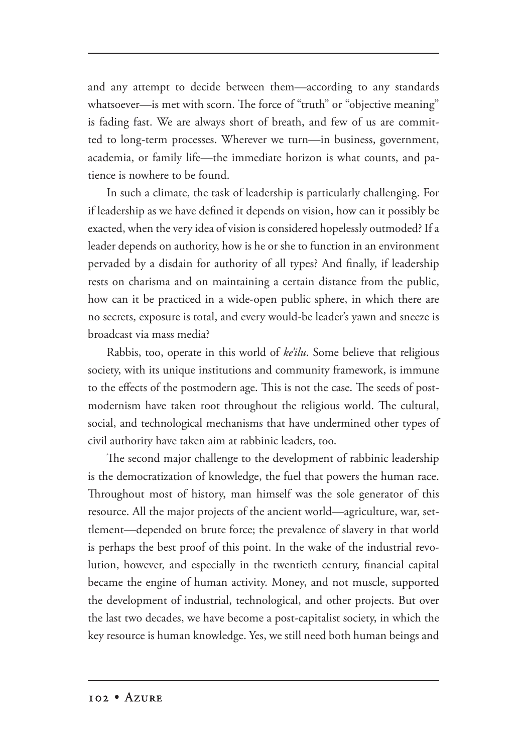and any attempt to decide between them—according to any standards whatsoever--is met with scorn. The force of "truth" or "objective meaning" is fading fast. We are always short of breath, and few of us are committed to long-term processes. Wherever we turn—in business, government, academia, or family life—the immediate horizon is what counts, and patience is nowhere to be found.

In such a climate, the task of leadership is particularly challenging. For if leadership as we have defined it depends on vision, how can it possibly be exacted, when the very idea of vision is considered hopelessly outmoded? If a leader depends on authority, how is he or she to function in an environment pervaded by a disdain for authority of all types? And finally, if leadership rests on charisma and on maintaining a certain distance from the public, how can it be practiced in a wide-open public sphere, in which there are no secrets, exposure is total, and every would-be leader's yawn and sneeze is broadcast via mass media?

Rabbis, too, operate in this world of *ke'ilu*. Some believe that religious society, with its unique institutions and community framework, is immune to the effects of the postmodern age. This is not the case. The seeds of postmodernism have taken root throughout the religious world. The cultural, social, and technological mechanisms that have undermined other types of civil authority have taken aim at rabbinic leaders, too.

The second major challenge to the development of rabbinic leadership is the democratization of knowledge, the fuel that powers the human race. Throughout most of history, man himself was the sole generator of this resource. All the major projects of the ancient world—agriculture, war, settlement—depended on brute force; the prevalence of slavery in that world is perhaps the best proof of this point. In the wake of the industrial revolution, however, and especially in the twentieth century, financial capital became the engine of human activity. Money, and not muscle, supported the development of industrial, technological, and other projects. But over the last two decades, we have become a post-capitalist society, in which the key resource is human knowledge. Yes, we still need both human beings and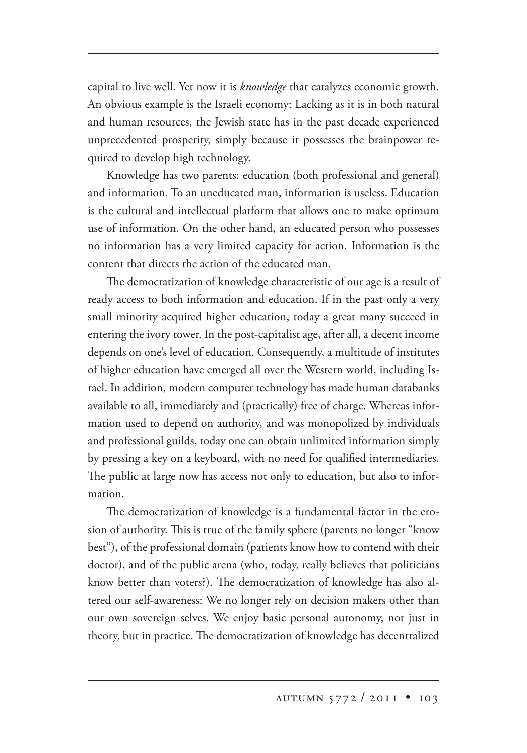capital to live well. Yet now it is *knowledge* that catalyzes economic growth. An obvious example is the Israeli economy: Lacking as it is in both natural and human resources, the Jewish state has in the past decade experienced unprecedented prosperity, simply because it possesses the brainpower required to develop high technology.

Knowledge has two parents: education (both professional and general) and information. To an uneducated man, information is useless. Education is the cultural and intellectual platform that allows one to make optimum use of information. On the other hand, an educated person who possesses no information has a very limited capacity for action. Information is the content that directs the action of the educated man.

The democratization of knowledge characteristic of our age is a result of ready access to both information and education. If in the past only a very small minority acquired higher education, today a great many succeed in entering the ivory tower. In the post-capitalist age, after all, a decent income depends on one's level of education. Consequently, a multitude of institutes of higher education have emerged all over the Western world, including Israel. In addition, modern computer technology has made human databanks available to all, immediately and (practically) free of charge. Whereas information used to depend on authority, and was monopolized by individuals and professional guilds, today one can obtain unlimited information simply by pressing a key on a keyboard, with no need for qualified intermediaries. The public at large now has access not only to education, but also to information.

The democratization of knowledge is a fundamental factor in the erosion of authority. This is true of the family sphere (parents no longer "know best"), of the professional domain (patients know how to contend with their doctor), and of the public arena (who, today, really believes that politicians know better than voters?). The democratization of knowledge has also altered our self-awareness: We no longer rely on decision makers other than our own sovereign selves. We enjoy basic personal autonomy, not just in theory, but in practice. The democratization of knowledge has decentralized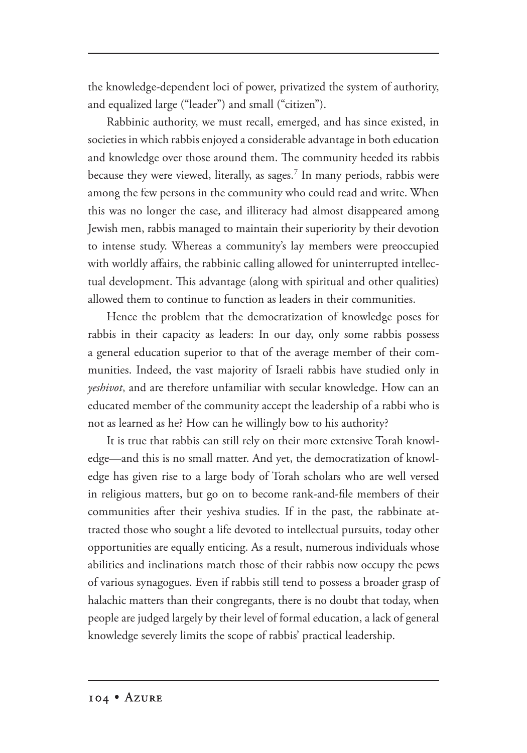the knowledge-dependent loci of power, privatized the system of authority, and equalized large ("leader") and small ("citizen").

Rabbinic authority, we must recall, emerged, and has since existed, in societies in which rabbis enjoyed a considerable advantage in both education and knowledge over those around them. The community heeded its rabbis because they were viewed, literally, as sages.7 In many periods, rabbis were among the few persons in the community who could read and write. When this was no longer the case, and illiteracy had almost disappeared among Jewish men, rabbis managed to maintain their superiority by their devotion to intense study. Whereas a community's lay members were preoccupied with worldly affairs, the rabbinic calling allowed for uninterrupted intellectual development. This advantage (along with spiritual and other qualities) allowed them to continue to function as leaders in their communities.

Hence the problem that the democratization of knowledge poses for rabbis in their capacity as leaders: In our day, only some rabbis possess a general education superior to that of the average member of their communities. Indeed, the vast majority of Israeli rabbis have studied only in *yeshivot*, and are therefore unfamiliar with secular knowledge. How can an educated member of the community accept the leadership of a rabbi who is not as learned as he? How can he willingly bow to his authority?

It is true that rabbis can still rely on their more extensive Torah knowledge—and this is no small matter. And yet, the democratization of knowledge has given rise to a large body of Torah scholars who are well versed in religious matters, but go on to become rank-and-file members of their communities after their yeshiva studies. If in the past, the rabbinate attracted those who sought a life devoted to intellectual pursuits, today other opportunities are equally enticing. As a result, numerous individuals whose abilities and inclinations match those of their rabbis now occupy the pews of various synagogues. Even if rabbis still tend to possess a broader grasp of halachic matters than their congregants, there is no doubt that today, when people are judged largely by their level of formal education, a lack of general knowledge severely limits the scope of rabbis' practical leadership.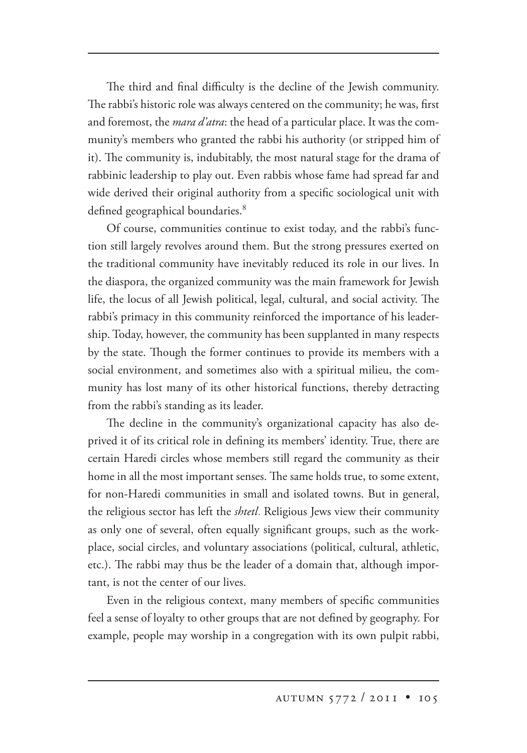The third and final difficulty is the decline of the Jewish community. The rabbi's historic role was always centered on the community; he was, first and foremost, the *mara d'atra*: the head of a particular place. It was the community's members who granted the rabbi his authority (or stripped him of it). The community is, indubitably, the most natural stage for the drama of rabbinic leadership to play out. Even rabbis whose fame had spread far and wide derived their original authority from a specific sociological unit with defined geographical boundaries.<sup>8</sup>

Of course, communities continue to exist today, and the rabbi's function still largely revolves around them. But the strong pressures exerted on the traditional community have inevitably reduced its role in our lives. In the diaspora, the organized community was the main framework for Jewish life, the locus of all Jewish political, legal, cultural, and social activity. The rabbi's primacy in this community reinforced the importance of his leadership. Today, however, the community has been supplanted in many respects by the state. Though the former continues to provide its members with a social environment, and sometimes also with a spiritual milieu, the community has lost many of its other historical functions, thereby detracting from the rabbi's standing as its leader.

The decline in the community's organizational capacity has also deprived it of its critical role in defining its members' identity. True, there are certain Haredi circles whose members still regard the community as their home in all the most important senses. The same holds true, to some extent, for non-Haredi communities in small and isolated towns. But in general, the religious sector has left the *shtetl*. Religious Jews view their community as only one of several, often equally significant groups, such as the workplace, social circles, and voluntary associations (political, cultural, athletic, etc.). The rabbi may thus be the leader of a domain that, although important, is not the center of our lives.

Even in the religious context, many members of specific communities feel a sense of loyalty to other groups that are not defined by geography. For example, people may worship in a congregation with its own pulpit rabbi,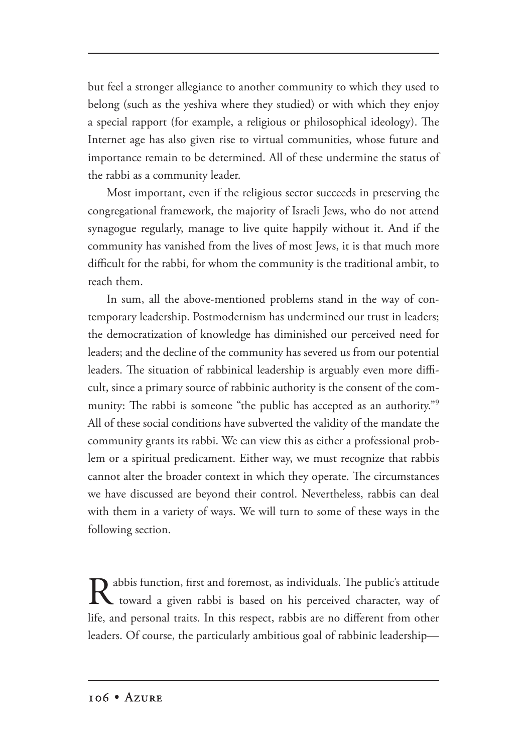but feel a stronger allegiance to another community to which they used to belong (such as the yeshiva where they studied) or with which they enjoy a special rapport (for example, a religious or philosophical ideology). The Internet age has also given rise to virtual communities, whose future and importance remain to be determined. All of these undermine the status of the rabbi as a community leader.

Most important, even if the religious sector succeeds in preserving the congregational framework, the majority of Israeli Jews, who do not attend synagogue regularly, manage to live quite happily without it. And if the community has vanished from the lives of most Jews, it is that much more difficult for the rabbi, for whom the community is the traditional ambit, to reach them.

In sum, all the above-mentioned problems stand in the way of contemporary leadership. Postmodernism has undermined our trust in leaders; the democratization of knowledge has diminished our perceived need for leaders; and the decline of the community has severed us from our potential leaders. The situation of rabbinical leadership is arguably even more difficult, since a primary source of rabbinic authority is the consent of the community: The rabbi is someone "the public has accepted as an authority."<sup>9</sup> All of these social conditions have subverted the validity of the mandate the community grants its rabbi. We can view this as either a professional problem or a spiritual predicament. Either way, we must recognize that rabbis cannot alter the broader context in which they operate. The circumstances we have discussed are beyond their control. Nevertheless, rabbis can deal with them in a variety of ways. We will turn to some of these ways in the following section.

Rabbis function, first and foremost, as individuals. The public's attitude toward a given rabbi is based on his perceived character, way of life, and personal traits. In this respect, rabbis are no different from other leaders. Of course, the particularly ambitious goal of rabbinic leadership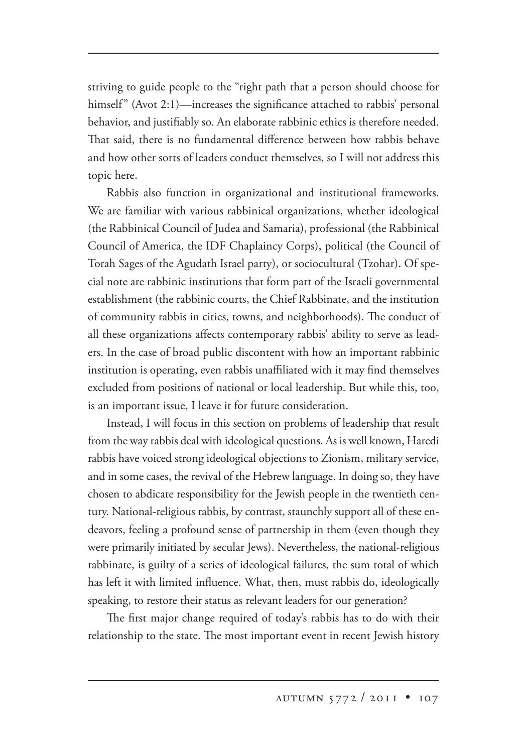striving to guide people to the "right path that a person should choose for himself" (Avot 2:1)—increases the significance attached to rabbis' personal behavior, and justifiably so. An elaborate rabbinic ethics is therefore needed. That said, there is no fundamental difference between how rabbis behave and how other sorts of leaders conduct themselves, so I will not address this topic here.

Rabbis also function in organizational and institutional frameworks. We are familiar with various rabbinical organizations, whether ideological (the Rabbinical Council of Judea and Samaria), professional (the Rabbinical Council of America, the IDF Chaplaincy Corps), political (the Council of Torah Sages of the Agudath Israel party), or sociocultural (Tzohar). Of special note are rabbinic institutions that form part of the Israeli governmental establishment (the rabbinic courts, the Chief Rabbinate, and the institution of community rabbis in cities, towns, and neighborhoods). The conduct of all these organizations affects contemporary rabbis' ability to serve as leaders. In the case of broad public discontent with how an important rabbinic institution is operating, even rabbis unaffiliated with it may find themselves excluded from positions of national or local leadership. But while this, too, is an important issue, I leave it for future consideration.

Instead, I will focus in this section on problems of leadership that result from the way rabbis deal with ideological questions. As is well known, Haredi rabbis have voiced strong ideological objections to Zionism, military service, and in some cases, the revival of the Hebrew language. In doing so, they have chosen to abdicate responsibility for the Jewish people in the twentieth century. National-religious rabbis, by contrast, staunchly support all of these endeavors, feeling a profound sense of partnership in them (even though they were primarily initiated by secular Jews). Nevertheless, the national-religious rabbinate, is guilty of a series of ideological failures, the sum total of which has left it with limited influence. What, then, must rabbis do, ideologically speaking, to restore their status as relevant leaders for our generation?

The first major change required of today's rabbis has to do with their relationship to the state. The most important event in recent Jewish history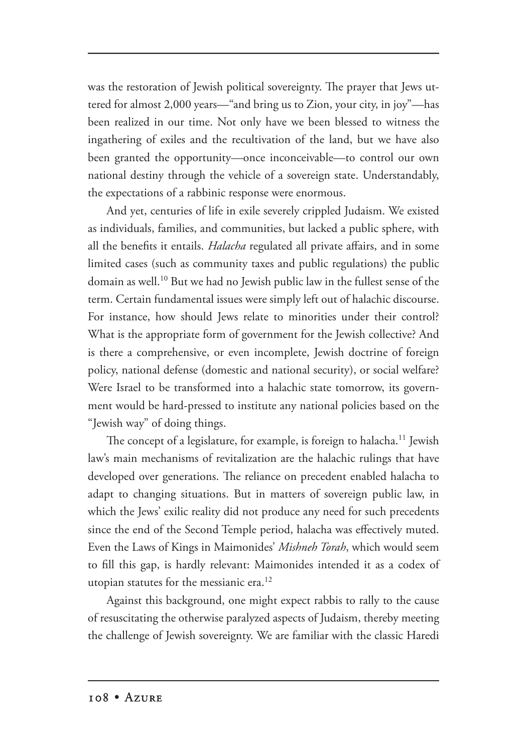was the restoration of Jewish political sovereignty. The prayer that Jews uttered for almost 2,000 years—"and bring us to Zion, your city, in joy"—has been realized in our time. Not only have we been blessed to witness the ingathering of exiles and the recultivation of the land, but we have also been granted the opportunity—once inconceivable—to control our own national destiny through the vehicle of a sovereign state. Understandably, the expectations of a rabbinic response were enormous.

And yet, centuries of life in exile severely crippled Judaism. We existed as individuals, families, and communities, but lacked a public sphere, with all the benefits it entails. *Halacha* regulated all private affairs, and in some limited cases (such as community taxes and public regulations) the public domain as well.10 But we had no Jewish public law in the fullest sense of the term. Certain fundamental issues were simply left out of halachic discourse. For instance, how should Jews relate to minorities under their control? What is the appropriate form of government for the Jewish collective? And is there a comprehensive, or even incomplete, Jewish doctrine of foreign policy, national defense (domestic and national security), or social welfare? Were Israel to be transformed into a halachic state tomorrow, its government would be hard-pressed to institute any national policies based on the "Jewish way" of doing things.

The concept of a legislature, for example, is foreign to halacha.<sup>11</sup> Jewish law's main mechanisms of revitalization are the halachic rulings that have developed over generations. The reliance on precedent enabled halacha to adapt to changing situations. But in matters of sovereign public law, in which the Jews' exilic reality did not produce any need for such precedents since the end of the Second Temple period, halacha was effectively muted. Even the Laws of Kings in Maimonides' *Mishneh Torah*, which would seem to fill this gap, is hardly relevant: Maimonides intended it as a codex of utopian statutes for the messianic era.<sup>12</sup>

Against this background, one might expect rabbis to rally to the cause of resuscitating the otherwise paralyzed aspects of Judaism, thereby meeting the challenge of Jewish sovereignty. We are familiar with the classic Haredi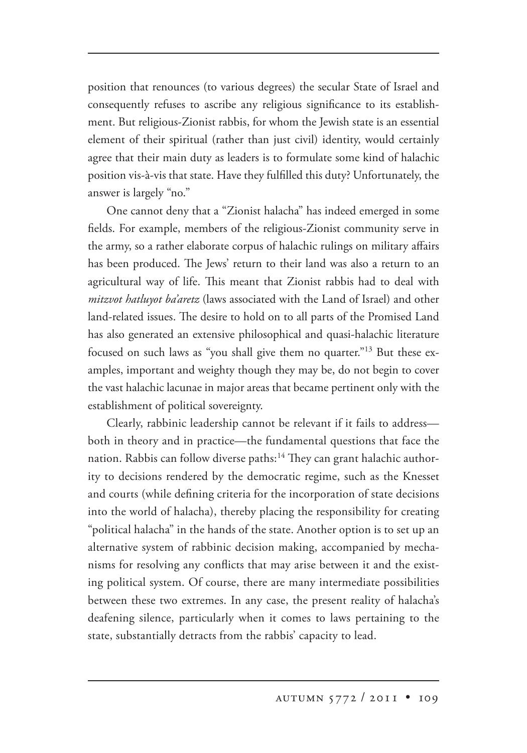position that renounces (to various degrees) the secular State of Israel and consequently refuses to ascribe any religious significance to its establishment. But religious-Zionist rabbis, for whom the Jewish state is an essential element of their spiritual (rather than just civil) identity, would certainly agree that their main duty as leaders is to formulate some kind of halachic position vis-à-vis that state. Have they fulfilled this duty? Unfortunately, the answer is largely "no."

One cannot deny that a "Zionist halacha" has indeed emerged in some fields. For example, members of the religious-Zionist community serve in the army, so a rather elaborate corpus of halachic rulings on military affairs has been produced. The Jews' return to their land was also a return to an agricultural way of life. This meant that Zionist rabbis had to deal with *mitzvot hatluyot ba'aretz* (laws associated with the Land of Israel) and other land-related issues. The desire to hold on to all parts of the Promised Land has also generated an extensive philosophical and quasi-halachic literature focused on such laws as "you shall give them no quarter."13 But these examples, important and weighty though they may be, do not begin to cover the vast halachic lacunae in major areas that became pertinent only with the establishment of political sovereignty.

Clearly, rabbinic leadership cannot be relevant if it fails to address both in theory and in practice—the fundamental questions that face the nation. Rabbis can follow diverse paths:<sup>14</sup> They can grant halachic authority to decisions rendered by the democratic regime, such as the Knesset and courts (while defining criteria for the incorporation of state decisions into the world of halacha), thereby placing the responsibility for creating "political halacha" in the hands of the state. Another option is to set up an alternative system of rabbinic decision making, accompanied by mechanisms for resolving any conflicts that may arise between it and the existing political system. Of course, there are many intermediate possibilities between these two extremes. In any case, the present reality of halacha's deafening silence, particularly when it comes to laws pertaining to the state, substantially detracts from the rabbis' capacity to lead.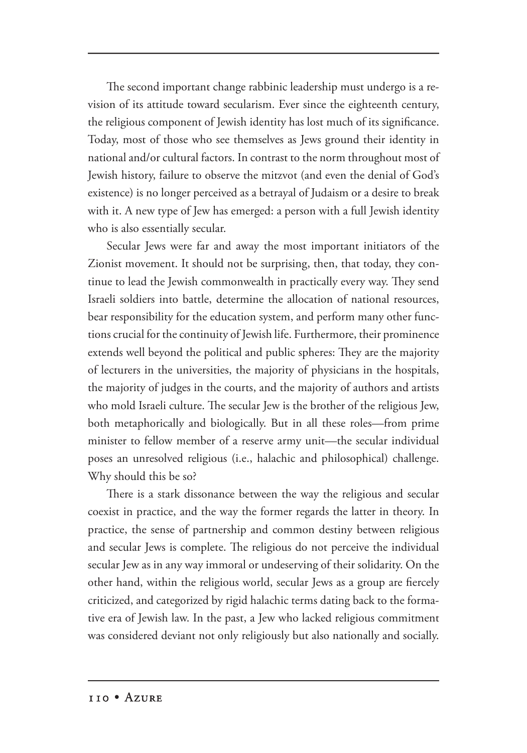The second important change rabbinic leadership must undergo is a revision of its attitude toward secularism. Ever since the eighteenth century, the religious component of Jewish identity has lost much of its significance. Today, most of those who see themselves as Jews ground their identity in national and/or cultural factors. In contrast to the norm throughout most of Jewish history, failure to observe the mitzvot (and even the denial of God's existence) is no longer perceived as a betrayal of Judaism or a desire to break with it. A new type of Jew has emerged: a person with a full Jewish identity who is also essentially secular.

Secular Jews were far and away the most important initiators of the Zionist movement. It should not be surprising, then, that today, they continue to lead the Jewish commonwealth in practically every way. They send Israeli soldiers into battle, determine the allocation of national resources, bear responsibility for the education system, and perform many other functions crucial for the continuity of Jewish life. Furthermore, their prominence extends well beyond the political and public spheres: They are the majority of lecturers in the universities, the majority of physicians in the hospitals, the majority of judges in the courts, and the majority of authors and artists who mold Israeli culture. The secular Jew is the brother of the religious Jew, both metaphorically and biologically. But in all these roles—from prime minister to fellow member of a reserve army unit—the secular individual poses an unresolved religious (i.e., halachic and philosophical) challenge. Why should this be so?

There is a stark dissonance between the way the religious and secular coexist in practice, and the way the former regards the latter in theory. In practice, the sense of partnership and common destiny between religious and secular Jews is complete. The religious do not perceive the individual secular Jew as in any way immoral or undeserving of their solidarity. On the other hand, within the religious world, secular Jews as a group are fiercely criticized, and categorized by rigid halachic terms dating back to the formative era of Jewish law. In the past, a Jew who lacked religious commitment was considered deviant not only religiously but also nationally and socially.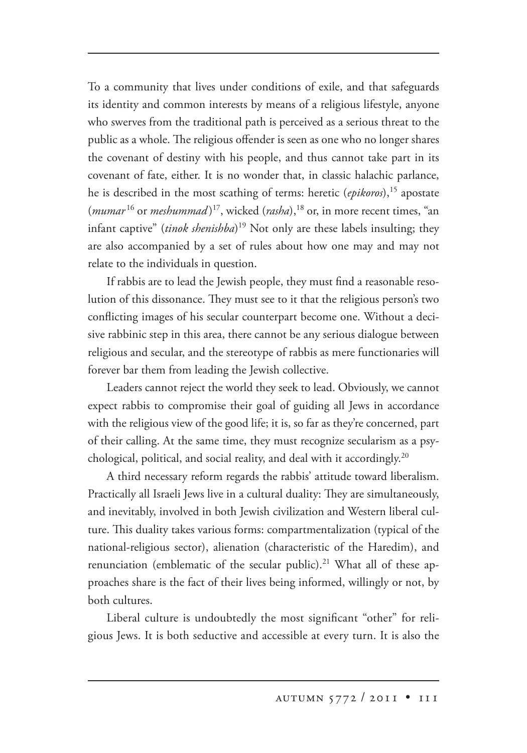To a community that lives under conditions of exile, and that safeguards its identity and common interests by means of a religious lifestyle, anyone who swerves from the traditional path is perceived as a serious threat to the public as a whole. The religious offender is seen as one who no longer shares the covenant of destiny with his people, and thus cannot take part in its covenant of fate, either. It is no wonder that, in classic halachic parlance, he is described in the most scathing of terms: heretic (*epikoros*),<sup>15</sup> apostate (*mumar* <sup>16</sup> or *meshummad* ) 17, wicked (*rasha*),18 or, in more recent times, "an infant captive" (*tinok shenishba*) 19 Not only are these labels insulting; they are also accompanied by a set of rules about how one may and may not relate to the individuals in question.

If rabbis are to lead the Jewish people, they must find a reasonable resolution of this dissonance. They must see to it that the religious person's two conflicting images of his secular counterpart become one. Without a decisive rabbinic step in this area, there cannot be any serious dialogue between religious and secular, and the stereotype of rabbis as mere functionaries will forever bar them from leading the Jewish collective.

Leaders cannot reject the world they seek to lead. Obviously, we cannot expect rabbis to compromise their goal of guiding all Jews in accordance with the religious view of the good life; it is, so far as they're concerned, part of their calling. At the same time, they must recognize secularism as a psychological, political, and social reality, and deal with it accordingly.20

A third necessary reform regards the rabbis' attitude toward liberalism. Practically all Israeli Jews live in a cultural duality: They are simultaneously, and inevitably, involved in both Jewish civilization and Western liberal culture. This duality takes various forms: compartmentalization (typical of the national-religious sector), alienation (characteristic of the Haredim), and renunciation (emblematic of the secular public).<sup>21</sup> What all of these approaches share is the fact of their lives being informed, willingly or not, by both cultures.

Liberal culture is undoubtedly the most significant "other" for religious Jews. It is both seductive and accessible at every turn. It is also the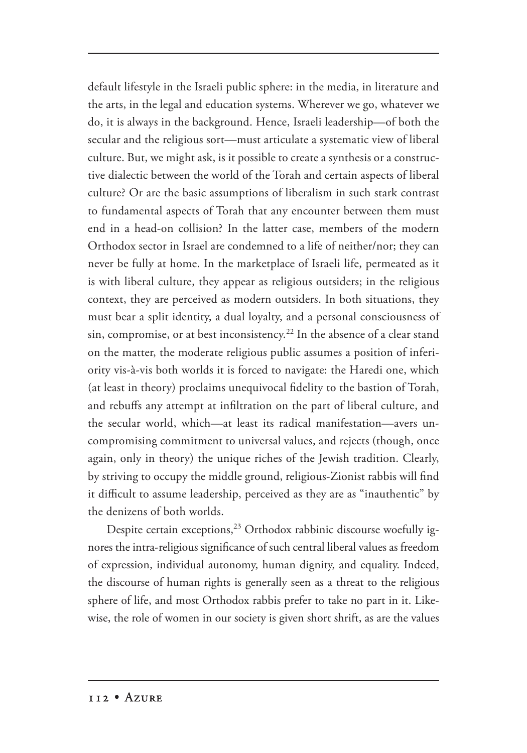default lifestyle in the Israeli public sphere: in the media, in literature and the arts, in the legal and education systems. Wherever we go, whatever we do, it is always in the background. Hence, Israeli leadership—of both the secular and the religious sort—must articulate a systematic view of liberal culture. But, we might ask, is it possible to create a synthesis or a constructive dialectic between the world of the Torah and certain aspects of liberal culture? Or are the basic assumptions of liberalism in such stark contrast to fundamental aspects of Torah that any encounter between them must end in a head-on collision? In the latter case, members of the modern Orthodox sector in Israel are condemned to a life of neither/nor; they can never be fully at home. In the marketplace of Israeli life, permeated as it is with liberal culture, they appear as religious outsiders; in the religious context, they are perceived as modern outsiders. In both situations, they must bear a split identity, a dual loyalty, and a personal consciousness of sin, compromise, or at best inconsistency.<sup>22</sup> In the absence of a clear stand on the matter, the moderate religious public assumes a position of inferiority vis-à-vis both worlds it is forced to navigate: the Haredi one, which (at least in theory) proclaims unequivocal fidelity to the bastion of Torah, and rebuffs any attempt at infiltration on the part of liberal culture, and the secular world, which—at least its radical manifestation—avers uncompromising commitment to universal values, and rejects (though, once again, only in theory) the unique riches of the Jewish tradition. Clearly, by striving to occupy the middle ground, religious-Zionist rabbis will find it difficult to assume leadership, perceived as they are as "inauthentic" by the denizens of both worlds.

Despite certain exceptions, $^{23}$  Orthodox rabbinic discourse woefully ignores the intra-religious significance of such central liberal values as freedom of expression, individual autonomy, human dignity, and equality. Indeed, the discourse of human rights is generally seen as a threat to the religious sphere of life, and most Orthodox rabbis prefer to take no part in it. Likewise, the role of women in our society is given short shrift, as are the values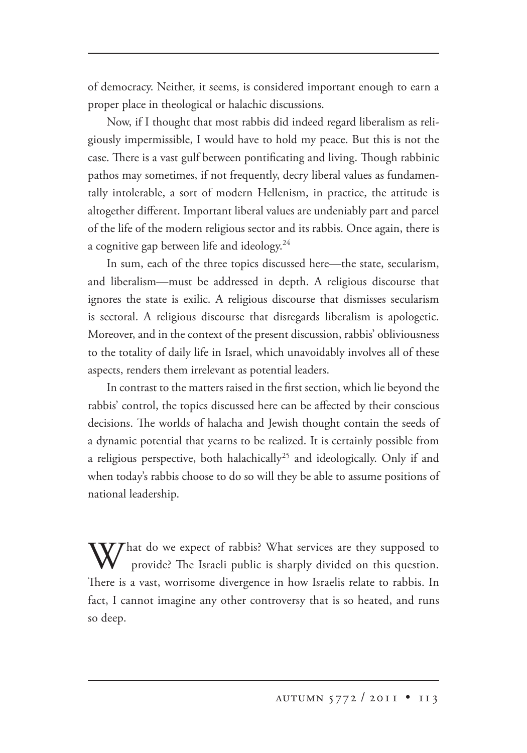of democracy. Neither, it seems, is considered important enough to earn a proper place in theological or halachic discussions.

Now, if I thought that most rabbis did indeed regard liberalism as religiously impermissible, I would have to hold my peace. But this is not the case. There is a vast gulf between pontificating and living. Though rabbinic pathos may sometimes, if not frequently, decry liberal values as fundamentally intolerable, a sort of modern Hellenism, in practice, the attitude is altogether different. Important liberal values are undeniably part and parcel of the life of the modern religious sector and its rabbis. Once again, there is a cognitive gap between life and ideology.<sup>24</sup>

In sum, each of the three topics discussed here—the state, secularism, and liberalism—must be addressed in depth. A religious discourse that ignores the state is exilic. A religious discourse that dismisses secularism is sectoral. A religious discourse that disregards liberalism is apologetic. Moreover, and in the context of the present discussion, rabbis' obliviousness to the totality of daily life in Israel, which unavoidably involves all of these aspects, renders them irrelevant as potential leaders.

In contrast to the matters raised in the first section, which lie beyond the rabbis' control, the topics discussed here can be affected by their conscious decisions. The worlds of halacha and Jewish thought contain the seeds of a dynamic potential that yearns to be realized. It is certainly possible from a religious perspective, both halachically<sup>25</sup> and ideologically. Only if and when today's rabbis choose to do so will they be able to assume positions of national leadership.

What do we expect of rabbis? What services are they supposed to I provide? The Israeli public is sharply divided on this question. There is a vast, worrisome divergence in how Israelis relate to rabbis. In fact, I cannot imagine any other controversy that is so heated, and runs so deep.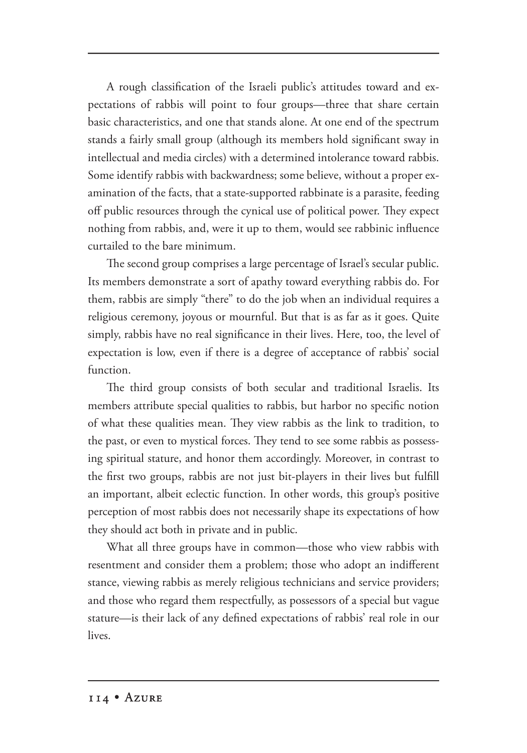A rough classification of the Israeli public's attitudes toward and expectations of rabbis will point to four groups—three that share certain basic characteristics, and one that stands alone. At one end of the spectrum stands a fairly small group (although its members hold significant sway in intellectual and media circles) with a determined intolerance toward rabbis. Some identify rabbis with backwardness; some believe, without a proper examination of the facts, that a state-supported rabbinate is a parasite, feeding off public resources through the cynical use of political power. They expect nothing from rabbis, and, were it up to them, would see rabbinic influence curtailed to the bare minimum.

The second group comprises a large percentage of Israel's secular public. Its members demonstrate a sort of apathy toward everything rabbis do. For them, rabbis are simply "there" to do the job when an individual requires a religious ceremony, joyous or mournful. But that is as far as it goes. Quite simply, rabbis have no real significance in their lives. Here, too, the level of expectation is low, even if there is a degree of acceptance of rabbis' social function.

The third group consists of both secular and traditional Israelis. Its members attribute special qualities to rabbis, but harbor no specific notion of what these qualities mean. They view rabbis as the link to tradition, to the past, or even to mystical forces. They tend to see some rabbis as possessing spiritual stature, and honor them accordingly. Moreover, in contrast to the first two groups, rabbis are not just bit-players in their lives but fulfill an important, albeit eclectic function. In other words, this group's positive perception of most rabbis does not necessarily shape its expectations of how they should act both in private and in public.

What all three groups have in common—those who view rabbis with resentment and consider them a problem; those who adopt an indifferent stance, viewing rabbis as merely religious technicians and service providers; and those who regard them respectfully, as possessors of a special but vague stature—is their lack of any defined expectations of rabbis' real role in our lives.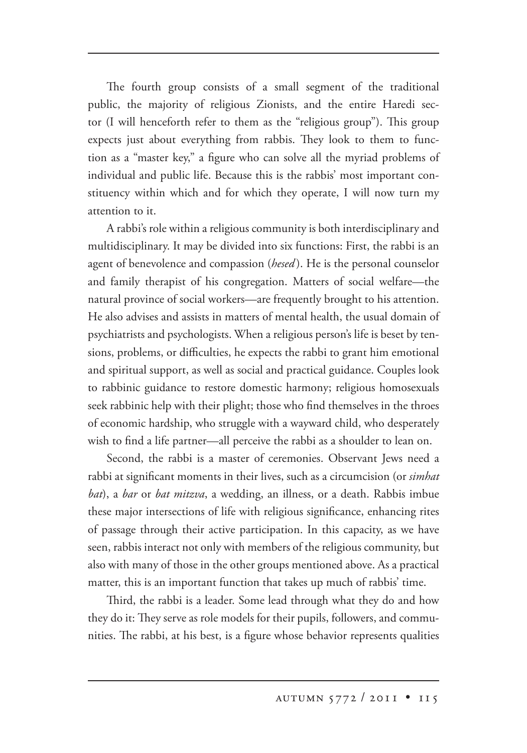The fourth group consists of a small segment of the traditional public, the majority of religious Zionists, and the entire Haredi sector (I will henceforth refer to them as the "religious group"). This group expects just about everything from rabbis. They look to them to function as a "master key," a figure who can solve all the myriad problems of individual and public life. Because this is the rabbis' most important constituency within which and for which they operate, I will now turn my attention to it.

A rabbi's role within a religious community is both interdisciplinary and multidisciplinary. It may be divided into six functions: First, the rabbi is an agent of benevolence and compassion (*hesed* ). He is the personal counselor and family therapist of his congregation. Matters of social welfare—the natural province of social workers—are frequently brought to his attention. He also advises and assists in matters of mental health, the usual domain of psychiatrists and psychologists. When a religious person's life is beset by tensions, problems, or difficulties, he expects the rabbi to grant him emotional and spiritual support, as well as social and practical guidance. Couples look to rabbinic guidance to restore domestic harmony; religious homosexuals seek rabbinic help with their plight; those who find themselves in the throes of economic hardship, who struggle with a wayward child, who desperately wish to find a life partner—all perceive the rabbi as a shoulder to lean on.

Second, the rabbi is a master of ceremonies. Observant Jews need a rabbi at significant moments in their lives, such as a circumcision (or *simhat bat*), a *bar* or *bat mitzva*, a wedding, an illness, or a death. Rabbis imbue these major intersections of life with religious significance, enhancing rites of passage through their active participation. In this capacity, as we have seen, rabbis interact not only with members of the religious community, but also with many of those in the other groups mentioned above. As a practical matter, this is an important function that takes up much of rabbis' time.

Third, the rabbi is a leader. Some lead through what they do and how they do it: They serve as role models for their pupils, followers, and communities. The rabbi, at his best, is a figure whose behavior represents qualities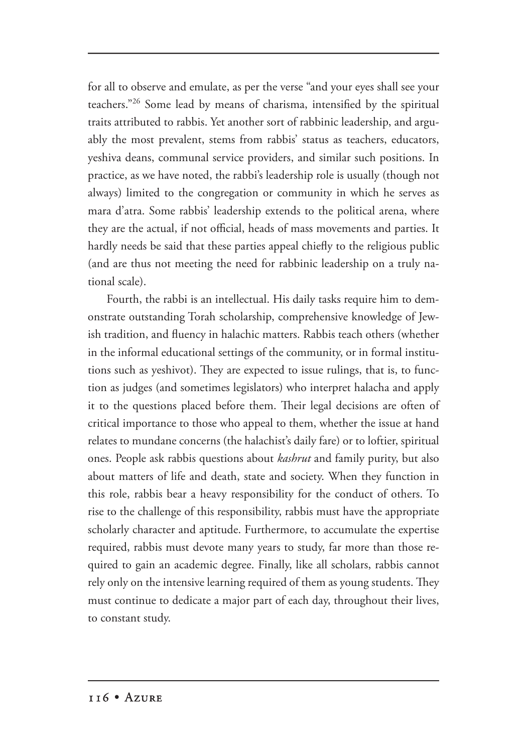for all to observe and emulate, as per the verse "and your eyes shall see your teachers."26 Some lead by means of charisma, intensified by the spiritual traits attributed to rabbis. Yet another sort of rabbinic leadership, and arguably the most prevalent, stems from rabbis' status as teachers, educators, yeshiva deans, communal service providers, and similar such positions. In practice, as we have noted, the rabbi's leadership role is usually (though not always) limited to the congregation or community in which he serves as mara d'atra. Some rabbis' leadership extends to the political arena, where they are the actual, if not official, heads of mass movements and parties. It hardly needs be said that these parties appeal chiefly to the religious public (and are thus not meeting the need for rabbinic leadership on a truly national scale).

Fourth, the rabbi is an intellectual. His daily tasks require him to demonstrate outstanding Torah scholarship, comprehensive knowledge of Jewish tradition, and fluency in halachic matters. Rabbis teach others (whether in the informal educational settings of the community, or in formal institutions such as yeshivot). They are expected to issue rulings, that is, to function as judges (and sometimes legislators) who interpret halacha and apply it to the questions placed before them. Their legal decisions are often of critical importance to those who appeal to them, whether the issue at hand relates to mundane concerns (the halachist's daily fare) or to loftier, spiritual ones. People ask rabbis questions about *kashrut* and family purity, but also about matters of life and death, state and society. When they function in this role, rabbis bear a heavy responsibility for the conduct of others. To rise to the challenge of this responsibility, rabbis must have the appropriate scholarly character and aptitude. Furthermore, to accumulate the expertise required, rabbis must devote many years to study, far more than those required to gain an academic degree. Finally, like all scholars, rabbis cannot rely only on the intensive learning required of them as young students. They must continue to dedicate a major part of each day, throughout their lives, to constant study.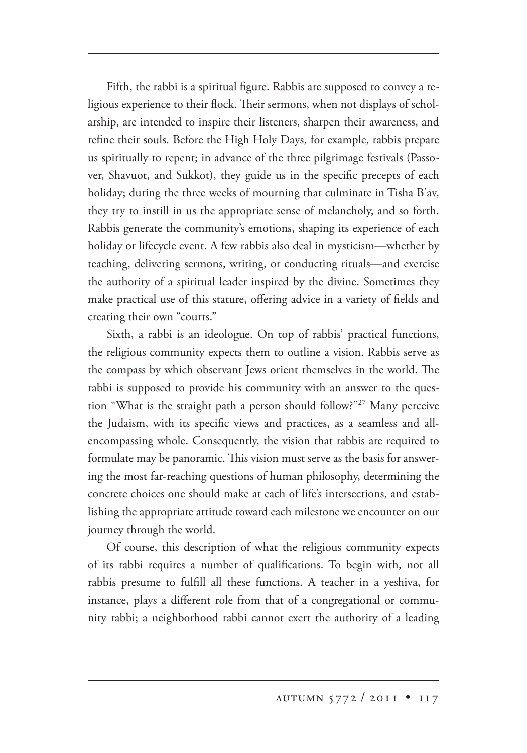Fifth, the rabbi is a spiritual figure. Rabbis are supposed to convey a religious experience to their flock. Their sermons, when not displays of scholarship, are intended to inspire their listeners, sharpen their awareness, and refine their souls. Before the High Holy Days, for example, rabbis prepare us spiritually to repent; in advance of the three pilgrimage festivals (Passover, Shavuot, and Sukkot), they guide us in the specific precepts of each holiday; during the three weeks of mourning that culminate in Tisha B'av, they try to instill in us the appropriate sense of melancholy, and so forth. Rabbis generate the community's emotions, shaping its experience of each holiday or lifecycle event. A few rabbis also deal in mysticism—whether by teaching, delivering sermons, writing, or conducting rituals—and exercise the authority of a spiritual leader inspired by the divine. Sometimes they make practical use of this stature, offering advice in a variety of fields and creating their own "courts."

Sixth, a rabbi is an ideologue. On top of rabbis' practical functions, the religious community expects them to outline a vision. Rabbis serve as the compass by which observant Jews orient themselves in the world. The rabbi is supposed to provide his community with an answer to the question "What is the straight path a person should follow?"27 Many perceive the Judaism, with its specific views and practices, as a seamless and allencompassing whole. Consequently, the vision that rabbis are required to formulate may be panoramic. This vision must serve as the basis for answering the most far-reaching questions of human philosophy, determining the concrete choices one should make at each of life's intersections, and establishing the appropriate attitude toward each milestone we encounter on our journey through the world.

Of course, this description of what the religious community expects of its rabbi requires a number of qualifications. To begin with, not all rabbis presume to fulfill all these functions. A teacher in a yeshiva, for instance, plays a different role from that of a congregational or community rabbi; a neighborhood rabbi cannot exert the authority of a leading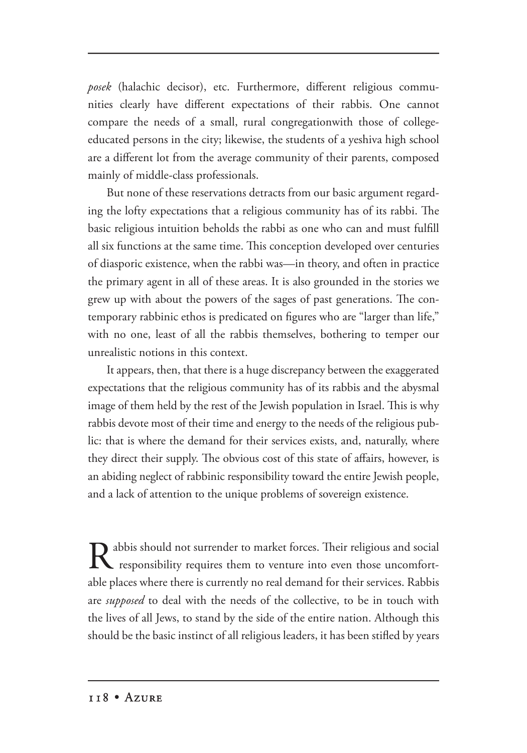*posek* (halachic decisor), etc. Furthermore, different religious communities clearly have different expectations of their rabbis. One cannot compare the needs of a small, rural congregationwith those of collegeeducated persons in the city; likewise, the students of a yeshiva high school are a different lot from the average community of their parents, composed mainly of middle-class professionals.

But none of these reservations detracts from our basic argument regarding the lofty expectations that a religious community has of its rabbi. The basic religious intuition beholds the rabbi as one who can and must fulfill all six functions at the same time. This conception developed over centuries of diasporic existence, when the rabbi was—in theory, and often in practice the primary agent in all of these areas. It is also grounded in the stories we grew up with about the powers of the sages of past generations. The contemporary rabbinic ethos is predicated on figures who are "larger than life," with no one, least of all the rabbis themselves, bothering to temper our unrealistic notions in this context.

It appears, then, that there is a huge discrepancy between the exaggerated expectations that the religious community has of its rabbis and the abysmal image of them held by the rest of the Jewish population in Israel. This is why rabbis devote most of their time and energy to the needs of the religious public: that is where the demand for their services exists, and, naturally, where they direct their supply. The obvious cost of this state of affairs, however, is an abiding neglect of rabbinic responsibility toward the entire Jewish people, and a lack of attention to the unique problems of sovereign existence.

abbis should not surrender to market forces. Their religious and social absolved responsibility requires them to venture into even those uncomfortable places where there is currently no real demand for their services. Rabbis are *supposed* to deal with the needs of the collective, to be in touch with the lives of all Jews, to stand by the side of the entire nation. Although this should be the basic instinct of all religious leaders, it has been stifled by years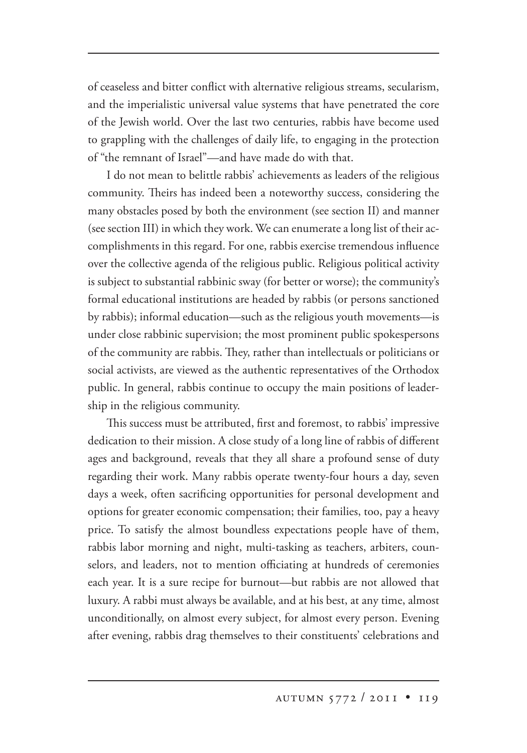of ceaseless and bitter conflict with alternative religious streams, secularism, and the imperialistic universal value systems that have penetrated the core of the Jewish world. Over the last two centuries, rabbis have become used to grappling with the challenges of daily life, to engaging in the protection of "the remnant of Israel"—and have made do with that.

I do not mean to belittle rabbis' achievements as leaders of the religious community. Theirs has indeed been a noteworthy success, considering the many obstacles posed by both the environment (see section II) and manner (see section III) in which they work. We can enumerate a long list of their accomplishments in this regard. For one, rabbis exercise tremendous influence over the collective agenda of the religious public. Religious political activity is subject to substantial rabbinic sway (for better or worse); the community's formal educational institutions are headed by rabbis (or persons sanctioned by rabbis); informal education—such as the religious youth movements—is under close rabbinic supervision; the most prominent public spokespersons of the community are rabbis. They, rather than intellectuals or politicians or social activists, are viewed as the authentic representatives of the Orthodox public. In general, rabbis continue to occupy the main positions of leadership in the religious community.

This success must be attributed, first and foremost, to rabbis' impressive dedication to their mission. A close study of a long line of rabbis of different ages and background, reveals that they all share a profound sense of duty regarding their work. Many rabbis operate twenty-four hours a day, seven days a week, often sacrificing opportunities for personal development and options for greater economic compensation; their families, too, pay a heavy price. To satisfy the almost boundless expectations people have of them, rabbis labor morning and night, multi-tasking as teachers, arbiters, counselors, and leaders, not to mention officiating at hundreds of ceremonies each year. It is a sure recipe for burnout—but rabbis are not allowed that luxury. A rabbi must always be available, and at his best, at any time, almost unconditionally, on almost every subject, for almost every person. Evening after evening, rabbis drag themselves to their constituents' celebrations and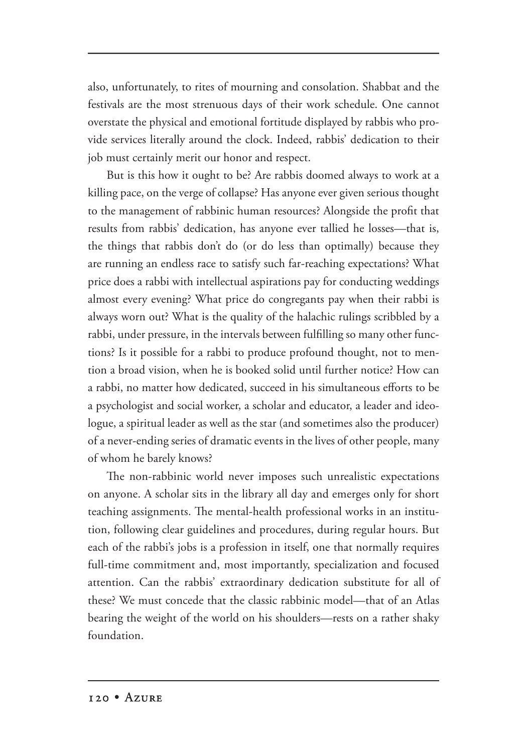also, unfortunately, to rites of mourning and consolation. Shabbat and the festivals are the most strenuous days of their work schedule. One cannot overstate the physical and emotional fortitude displayed by rabbis who provide services literally around the clock. Indeed, rabbis' dedication to their job must certainly merit our honor and respect.

But is this how it ought to be? Are rabbis doomed always to work at a killing pace, on the verge of collapse? Has anyone ever given serious thought to the management of rabbinic human resources? Alongside the profit that results from rabbis' dedication, has anyone ever tallied he losses—that is, the things that rabbis don't do (or do less than optimally) because they are running an endless race to satisfy such far-reaching expectations? What price does a rabbi with intellectual aspirations pay for conducting weddings almost every evening? What price do congregants pay when their rabbi is always worn out? What is the quality of the halachic rulings scribbled by a rabbi, under pressure, in the intervals between fulfilling so many other functions? Is it possible for a rabbi to produce profound thought, not to mention a broad vision, when he is booked solid until further notice? How can a rabbi, no matter how dedicated, succeed in his simultaneous efforts to be a psychologist and social worker, a scholar and educator, a leader and ideologue, a spiritual leader as well as the star (and sometimes also the producer) of a never-ending series of dramatic events in the lives of other people, many of whom he barely knows?

The non-rabbinic world never imposes such unrealistic expectations on anyone. A scholar sits in the library all day and emerges only for short teaching assignments. The mental-health professional works in an institution, following clear guidelines and procedures, during regular hours. But each of the rabbi's jobs is a profession in itself, one that normally requires full-time commitment and, most importantly, specialization and focused attention. Can the rabbis' extraordinary dedication substitute for all of these? We must concede that the classic rabbinic model—that of an Atlas bearing the weight of the world on his shoulders—rests on a rather shaky foundation.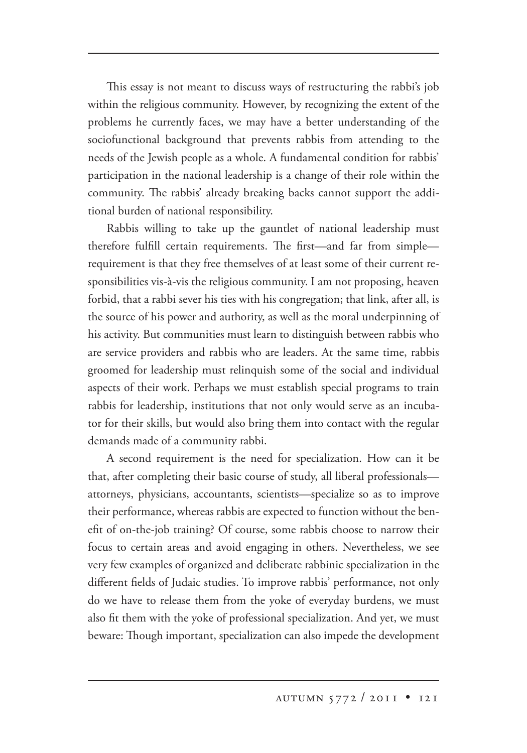This essay is not meant to discuss ways of restructuring the rabbi's job within the religious community. However, by recognizing the extent of the problems he currently faces, we may have a better understanding of the sociofunctional background that prevents rabbis from attending to the needs of the Jewish people as a whole. A fundamental condition for rabbis' participation in the national leadership is a change of their role within the community. The rabbis' already breaking backs cannot support the additional burden of national responsibility.

Rabbis willing to take up the gauntlet of national leadership must therefore fulfill certain requirements. The first—and far from simple requirement is that they free themselves of at least some of their current responsibilities vis-à-vis the religious community. I am not proposing, heaven forbid, that a rabbi sever his ties with his congregation; that link, after all, is the source of his power and authority, as well as the moral underpinning of his activity. But communities must learn to distinguish between rabbis who are service providers and rabbis who are leaders. At the same time, rabbis groomed for leadership must relinquish some of the social and individual aspects of their work. Perhaps we must establish special programs to train rabbis for leadership, institutions that not only would serve as an incubator for their skills, but would also bring them into contact with the regular demands made of a community rabbi.

A second requirement is the need for specialization. How can it be that, after completing their basic course of study, all liberal professionals attorneys, physicians, accountants, scientists—specialize so as to improve their performance, whereas rabbis are expected to function without the benefit of on-the-job training? Of course, some rabbis choose to narrow their focus to certain areas and avoid engaging in others. Nevertheless, we see very few examples of organized and deliberate rabbinic specialization in the different fields of Judaic studies. To improve rabbis' performance, not only do we have to release them from the yoke of everyday burdens, we must also fit them with the yoke of professional specialization. And yet, we must beware: Though important, specialization can also impede the development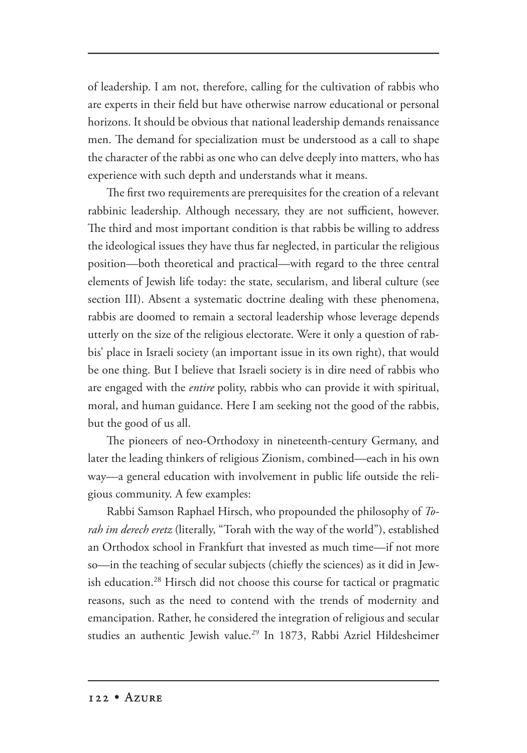of leadership. I am not, therefore, calling for the cultivation of rabbis who are experts in their field but have otherwise narrow educational or personal horizons. It should be obvious that national leadership demands renaissance men. The demand for specialization must be understood as a call to shape the character of the rabbi as one who can delve deeply into matters, who has experience with such depth and understands what it means.

The first two requirements are prerequisites for the creation of a relevant rabbinic leadership. Although necessary, they are not sufficient, however. The third and most important condition is that rabbis be willing to address the ideological issues they have thus far neglected, in particular the religious position—both theoretical and practical—with regard to the three central elements of Jewish life today: the state, secularism, and liberal culture (see section III). Absent a systematic doctrine dealing with these phenomena, rabbis are doomed to remain a sectoral leadership whose leverage depends utterly on the size of the religious electorate. Were it only a question of rabbis' place in Israeli society (an important issue in its own right), that would be one thing. But I believe that Israeli society is in dire need of rabbis who are engaged with the *entire* polity, rabbis who can provide it with spiritual, moral, and human guidance. Here I am seeking not the good of the rabbis, but the good of us all.

The pioneers of neo-Orthodoxy in nineteenth-century Germany, and later the leading thinkers of religious Zionism, combined—each in his own way—a general education with involvement in public life outside the religious community. A few examples:

Rabbi Samson Raphael Hirsch, who propounded the philosophy of *Torah im derech eretz* (literally, "Torah with the way of the world"), established an Orthodox school in Frankfurt that invested as much time—if not more so—in the teaching of secular subjects (chiefly the sciences) as it did in Jewish education.<sup>28</sup> Hirsch did not choose this course for tactical or pragmatic reasons, such as the need to contend with the trends of modernity and emancipation. Rather, he considered the integration of religious and secular studies an authentic Jewish value.<sup>29</sup> In 1873, Rabbi Azriel Hildesheimer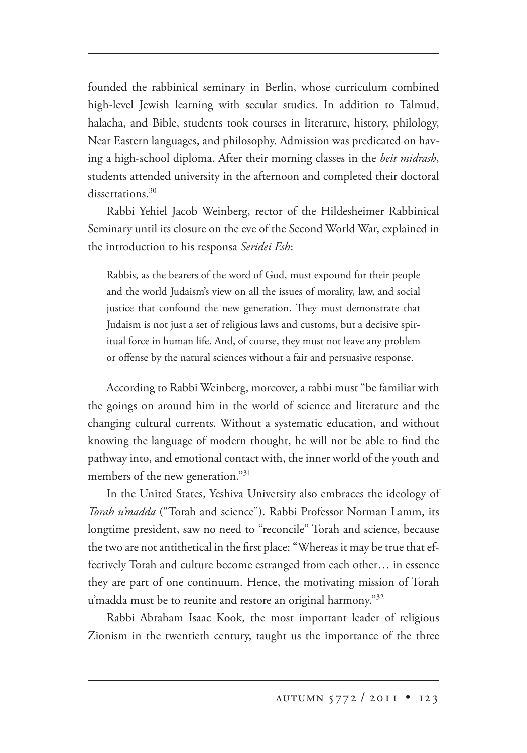founded the rabbinical seminary in Berlin, whose curriculum combined high-level Jewish learning with secular studies. In addition to Talmud, halacha, and Bible, students took courses in literature, history, philology, Near Eastern languages, and philosophy. Admission was predicated on having a high-school diploma. After their morning classes in the *beit midrash*, students attended university in the afternoon and completed their doctoral dissertations.<sup>30</sup>

Rabbi Yehiel Jacob Weinberg, rector of the Hildesheimer Rabbinical Seminary until its closure on the eve of the Second World War, explained in the introduction to his responsa *Seridei Esh*:

Rabbis, as the bearers of the word of God, must expound for their people and the world Judaism's view on all the issues of morality, law, and social justice that confound the new generation. They must demonstrate that Judaism is not just a set of religious laws and customs, but a decisive spiritual force in human life. And, of course, they must not leave any problem or offense by the natural sciences without a fair and persuasive response.

According to Rabbi Weinberg, moreover, a rabbi must "be familiar with the goings on around him in the world of science and literature and the changing cultural currents. Without a systematic education, and without knowing the language of modern thought, he will not be able to find the pathway into, and emotional contact with, the inner world of the youth and members of the new generation."31

In the United States, Yeshiva University also embraces the ideology of *Torah u'madda* ("Torah and science"). Rabbi Professor Norman Lamm, its longtime president, saw no need to "reconcile" Torah and science, because the two are not antithetical in the first place: "Whereas it may be true that effectively Torah and culture become estranged from each other… in essence they are part of one continuum. Hence, the motivating mission of Torah u'madda must be to reunite and restore an original harmony."<sup>32</sup>

Rabbi Abraham Isaac Kook, the most important leader of religious Zionism in the twentieth century, taught us the importance of the three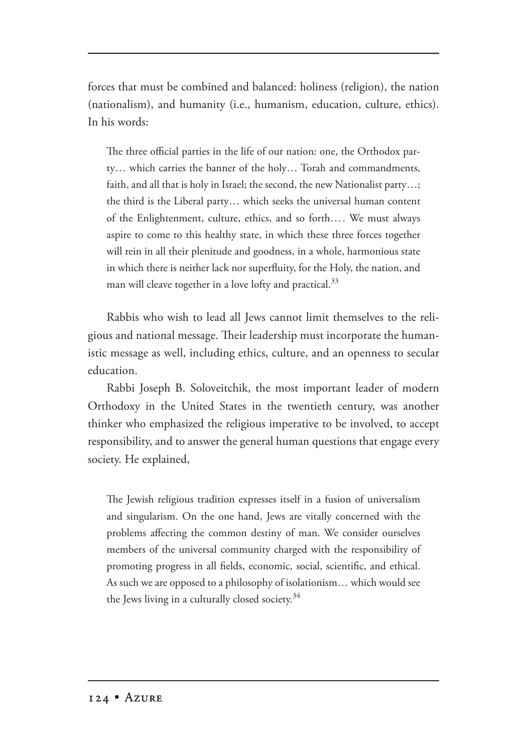forces that must be combined and balanced: holiness (religion), the nation (nationalism), and humanity (i.e., humanism, education, culture, ethics). In his words:

The three official parties in the life of our nation: one, the Orthodox party… which carries the banner of the holy… Torah and commandments, faith, and all that is holy in Israel; the second, the new Nationalist party…; the third is the Liberal party… which seeks the universal human content of the Enlightenment, culture, ethics, and so forth…. We must always aspire to come to this healthy state, in which these three forces together will rein in all their plenitude and goodness, in a whole, harmonious state in which there is neither lack nor superfluity, for the Holy, the nation, and man will cleave together in a love lofty and practical.<sup>33</sup>

Rabbis who wish to lead all Jews cannot limit themselves to the religious and national message. Their leadership must incorporate the humanistic message as well, including ethics, culture, and an openness to secular education.

Rabbi Joseph B. Soloveitchik, the most important leader of modern Orthodoxy in the United States in the twentieth century, was another thinker who emphasized the religious imperative to be involved, to accept responsibility, and to answer the general human questions that engage every society. He explained,

The Jewish religious tradition expresses itself in a fusion of universalism and singularism. On the one hand, Jews are vitally concerned with the problems affecting the common destiny of man. We consider ourselves members of the universal community charged with the responsibility of promoting progress in all fields, economic, social, scientific, and ethical. As such we are opposed to a philosophy of isolationism… which would see the Jews living in a culturally closed society.<sup>34</sup>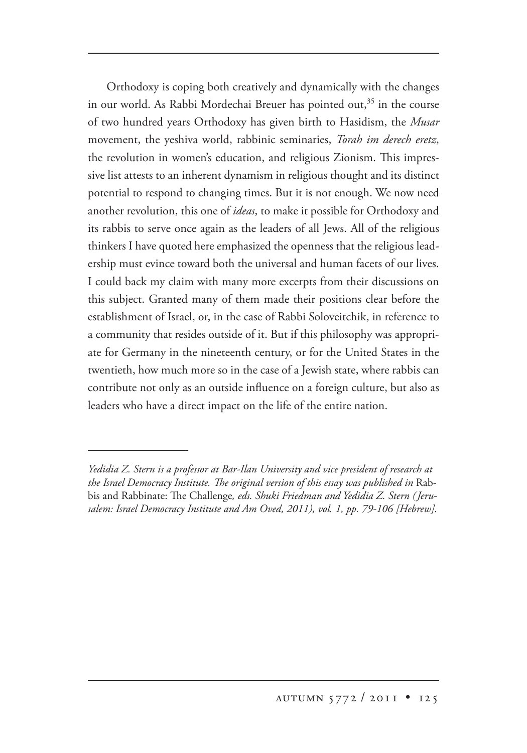Orthodoxy is coping both creatively and dynamically with the changes in our world. As Rabbi Mordechai Breuer has pointed out, $35$  in the course of two hundred years Orthodoxy has given birth to Hasidism, the *Musar* movement, the yeshiva world, rabbinic seminaries, *Torah im derech eretz*, the revolution in women's education, and religious Zionism. This impressive list attests to an inherent dynamism in religious thought and its distinct potential to respond to changing times. But it is not enough. We now need another revolution, this one of *ideas*, to make it possible for Orthodoxy and its rabbis to serve once again as the leaders of all Jews. All of the religious thinkers I have quoted here emphasized the openness that the religious leadership must evince toward both the universal and human facets of our lives. I could back my claim with many more excerpts from their discussions on this subject. Granted many of them made their positions clear before the establishment of Israel, or, in the case of Rabbi Soloveitchik, in reference to a community that resides outside of it. But if this philosophy was appropriate for Germany in the nineteenth century, or for the United States in the twentieth, how much more so in the case of a Jewish state, where rabbis can contribute not only as an outside influence on a foreign culture, but also as leaders who have a direct impact on the life of the entire nation.

*Yedidia Z. Stern is a professor at Bar-Ilan University and vice president of research at*  the Israel Democracy Institute. The original version of this essay was published in Rabbis and Rabbinate: The Challenge, eds. Shuki Friedman and Yedidia Z. Stern (Jeru*salem: Israel Democracy Institute and Am Oved, 2011), vol. 1, pp. 79-106 [Hebrew].*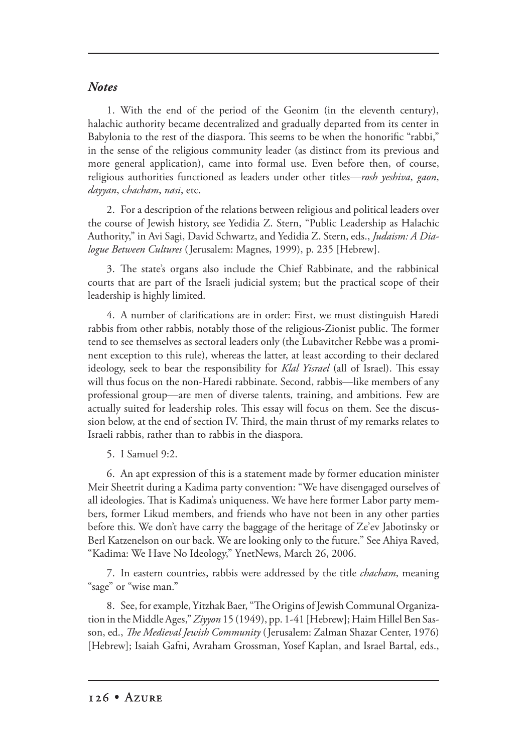## *Notes*

1. With the end of the period of the Geonim (in the eleventh century), halachic authority became decentralized and gradually departed from its center in Babylonia to the rest of the diaspora. This seems to be when the honorific "rabbi," in the sense of the religious community leader (as distinct from its previous and more general application), came into formal use. Even before then, of course, religious authorities functioned as leaders under other titles—*rosh yeshiva*, *gaon*, *dayyan*, c*hacham*, *nasi*, etc.

2. For a description of the relations between religious and political leaders over the course of Jewish history, see Yedidia Z. Stern, "Public Leadership as Halachic Authority," in Avi Sagi, David Schwartz, and Yedidia Z. Stern, eds., *Judaism: A Dialogue Between Cultures* (Jerusalem: Magnes, 1999), p. 235 [Hebrew].

3. The state's organs also include the Chief Rabbinate, and the rabbinical courts that are part of the Israeli judicial system; but the practical scope of their leadership is highly limited.

4. A number of clarifications are in order: First, we must distinguish Haredi rabbis from other rabbis, notably those of the religious-Zionist public. The former tend to see themselves as sectoral leaders only (the Lubavitcher Rebbe was a prominent exception to this rule), whereas the latter, at least according to their declared ideology, seek to bear the responsibility for *Klal Yisrael* (all of Israel). This essay will thus focus on the non-Haredi rabbinate. Second, rabbis—like members of any professional group—are men of diverse talents, training, and ambitions. Few are actually suited for leadership roles. This essay will focus on them. See the discussion below, at the end of section IV. Third, the main thrust of my remarks relates to Israeli rabbis, rather than to rabbis in the diaspora.

5. I Samuel 9:2.

6. An apt expression of this is a statement made by former education minister Meir Sheetrit during a Kadima party convention: "We have disengaged ourselves of all ideologies. That is Kadima's uniqueness. We have here former Labor party members, former Likud members, and friends who have not been in any other parties before this. We don't have carry the baggage of the heritage of Ze'ev Jabotinsky or Berl Katzenelson on our back. We are looking only to the future." See Ahiya Raved, "Kadima: We Have No Ideology," YnetNews, March 26, 2006.

7. In eastern countries, rabbis were addressed by the title *chacham*, meaning "sage" or "wise man."

8. See, for example, Yitzhak Baer, "The Origins of Jewish Communal Organization in the Middle Ages," *Ziyyon* 15 (1949), pp. 1-41 [Hebrew]; Haim Hillel Ben Sasson, ed., *The Medieval Jewish Community* (Jerusalem: Zalman Shazar Center, 1976) [Hebrew]; Isaiah Gafni, Avraham Grossman, Yosef Kaplan, and Israel Bartal, eds.,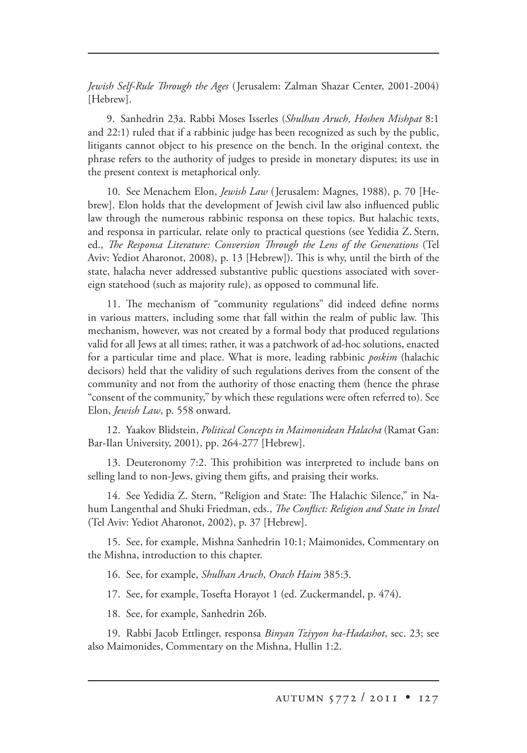*Jewish Self-Rule Through the Ages* (Jerusalem: Zalman Shazar Center, 2001-2004) [Hebrew].

9. Sanhedrin 23a. Rabbi Moses Isserles (*Shulhan Aruch*, *Hoshen Mishpat* 8:1 and 22:1) ruled that if a rabbinic judge has been recognized as such by the public, litigants cannot object to his presence on the bench. In the original context, the phrase refers to the authority of judges to preside in monetary disputes; its use in the present context is metaphorical only.

10. See Menachem Elon, *Jewish Law* (Jerusalem: Magnes, 1988), p. 70 [Hebrew]. Elon holds that the development of Jewish civil law also influenced public law through the numerous rabbinic responsa on these topics. But halachic texts, and responsa in particular, relate only to practical questions (see Yedidia Z. Stern, ed., *The Responsa Literature: Conversion Through the Lens of the Generations* (Tel Aviv: Yediot Aharonot, 2008), p. 13 [Hebrew]). This is why, until the birth of the state, halacha never addressed substantive public questions associated with sovereign statehood (such as majority rule), as opposed to communal life.

11. The mechanism of "community regulations" did indeed define norms in various matters, including some that fall within the realm of public law. This mechanism, however, was not created by a formal body that produced regulations valid for all Jews at all times; rather, it was a patchwork of ad-hoc solutions, enacted for a particular time and place. What is more, leading rabbinic *poskim* (halachic decisors) held that the validity of such regulations derives from the consent of the community and not from the authority of those enacting them (hence the phrase "consent of the community," by which these regulations were often referred to). See Elon, *Jewish Law*, p. 558 onward.

12. Yaakov Blidstein, *Political Concepts in Maimonidean Halacha* (Ramat Gan: Bar-Ilan University, 2001), pp. 264-277 [Hebrew].

13. Deuteronomy 7:2. This prohibition was interpreted to include bans on selling land to non-Jews, giving them gifts, and praising their works.

14. See Yedidia Z. Stern, "Religion and State: The Halachic Silence," in Nahum Langenthal and Shuki Friedman, eds., *The Conflict: Religion and State in Israel* (Tel Aviv: Yediot Aharonot, 2002), p. 37 [Hebrew].

15. See, for example, Mishna Sanhedrin 10:1; Maimonides, Commentary on the Mishna, introduction to this chapter.

16. See, for example, *Shulhan Aruch*, *Orach Haim* 385:3.

17. See, for example, Tosefta Horayot 1 (ed. Zuckermandel, p. 474).

18. See, for example, Sanhedrin 26b.

19. Rabbi Jacob Ettlinger, responsa *Binyan Tziyyon ha-Hadashot*, sec. 23; see also Maimonides, Commentary on the Mishna, Hullin 1:2.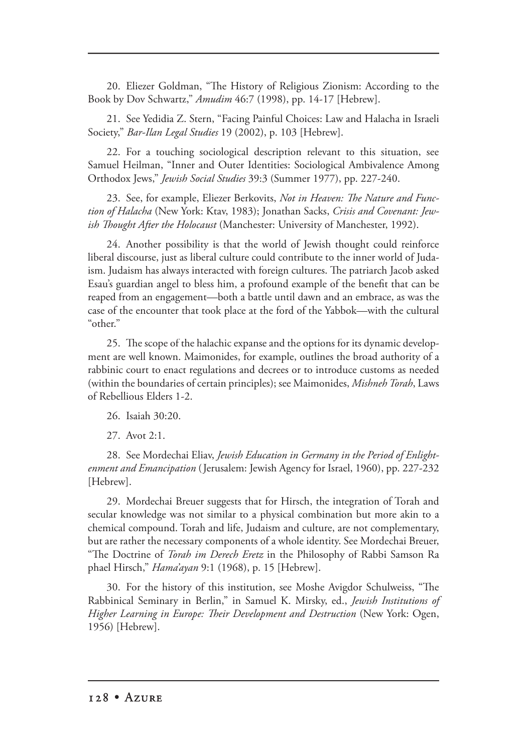20. Eliezer Goldman, "The History of Religious Zionism: According to the Book by Dov Schwartz," *Amudim* 46:7 (1998), pp. 14-17 [Hebrew].

21. See Yedidia Z. Stern, "Facing Painful Choices: Law and Halacha in Israeli Society," *Bar-Ilan Legal Studies* 19 (2002), p. 103 [Hebrew].

22. For a touching sociological description relevant to this situation, see Samuel Heilman, "Inner and Outer Identities: Sociological Ambivalence Among Orthodox Jews," *Jewish Social Studies* 39:3 (Summer 1977), pp. 227-240. 227-240.

23. See, for example, Eliezer Berkovits, *Not in Heaven: The Nature and Function of Halacha* (New York: Ktav, 1983); Jonathan Sacks, *Crisis and Covenant: Jewish Thought After the Holocaust* (Manchester: University of Manchester, 1992).

24. Another possibility is that the world of Jewish thought could reinforce liberal discourse, just as liberal culture could contribute to the inner world of Judaism. Judaism has always interacted with foreign cultures. The patriarch Jacob asked Esau's guardian angel to bless him, a profound example of the benefit that can be reaped from an engagement—both a battle until dawn and an embrace, as was the case of the encounter that took place at the ford of the Yabbok—with the cultural "other."

25. The scope of the halachic expanse and the options for its dynamic development are well known. Maimonides, for example, outlines the broad authority of a rabbinic court to enact regulations and decrees or to introduce customs as needed (within the boundaries of certain principles); see Maimonides, *Mishneh Torah*, Laws of Rebellious Elders 1-2.

26. Isaiah 30:20.

27. Avot 2:1.

28. See Mordechai Eliav, *Jewish Education in Germany in the Period of Enlightenment and Emancipation* (Jerusalem: Jewish Agency for Israel, 1960), pp. 227-232 [Hebrew].

29. Mordechai Breuer suggests that for Hirsch, the integration of Torah and secular knowledge was not similar to a physical combination but more akin to a chemical compound. Torah and life, Judaism and culture, are not complementary, but are rather the necessary components of a whole identity. See Mordechai Breuer, "The Doctrine of *Torah im Derech Eretz* in the Philosophy of Rabbi Samson Ra phael Hirsch," *Hama'ayan* 9:1 (1968), p. 15 [Hebrew].

30. For the history of this institution, see Moshe Avigdor Schulweiss, "The Rabbinical Seminary in Berlin," in Samuel K. Mirsky, ed., *Jewish Institutions of Higher Learning in Europe: Their Development and Destruction* (New York: Ogen, 1956) [Hebrew].